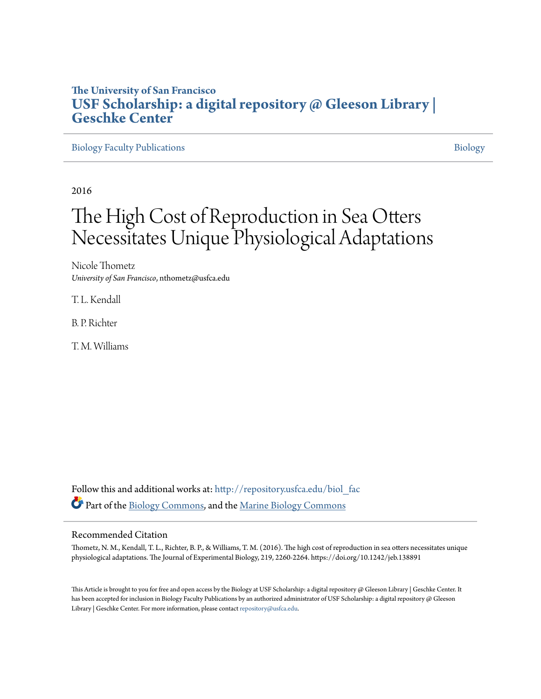### **The University of San Francisco [USF Scholarship: a digital repository @ Gleeson Library |](http://repository.usfca.edu?utm_source=repository.usfca.edu%2Fbiol_fac%2F51&utm_medium=PDF&utm_campaign=PDFCoverPages) [Geschke Center](http://repository.usfca.edu?utm_source=repository.usfca.edu%2Fbiol_fac%2F51&utm_medium=PDF&utm_campaign=PDFCoverPages)**

[Biology Faculty Publications](http://repository.usfca.edu/biol_fac?utm_source=repository.usfca.edu%2Fbiol_fac%2F51&utm_medium=PDF&utm_campaign=PDFCoverPages) and the state of the state of the state of the state of the [Biology](http://repository.usfca.edu/biol?utm_source=repository.usfca.edu%2Fbiol_fac%2F51&utm_medium=PDF&utm_campaign=PDFCoverPages) Biology Biology

2016

# The High Cost of Reproduction in Sea Otters Necessitates Unique Physiological Adaptations

Nicole Thometz *University of San Francisco*, nthometz@usfca.edu

T. L. Kendall

B. P. Richter

T. M. Williams

Follow this and additional works at: [http://repository.usfca.edu/biol\\_fac](http://repository.usfca.edu/biol_fac?utm_source=repository.usfca.edu%2Fbiol_fac%2F51&utm_medium=PDF&utm_campaign=PDFCoverPages) Part of the [Biology Commons,](http://network.bepress.com/hgg/discipline/41?utm_source=repository.usfca.edu%2Fbiol_fac%2F51&utm_medium=PDF&utm_campaign=PDFCoverPages) and the [Marine Biology Commons](http://network.bepress.com/hgg/discipline/1126?utm_source=repository.usfca.edu%2Fbiol_fac%2F51&utm_medium=PDF&utm_campaign=PDFCoverPages)

#### Recommended Citation

Thometz, N. M., Kendall, T. L., Richter, B. P., & Williams, T. M. (2016). The high cost of reproduction in sea otters necessitates unique physiological adaptations. The Journal of Experimental Biology, 219, 2260-2264. https://doi.org/10.1242/jeb.138891

This Article is brought to you for free and open access by the Biology at USF Scholarship: a digital repository @ Gleeson Library | Geschke Center. It has been accepted for inclusion in Biology Faculty Publications by an authorized administrator of USF Scholarship: a digital repository @ Gleeson Library | Geschke Center. For more information, please contact [repository@usfca.edu.](mailto:repository@usfca.edu)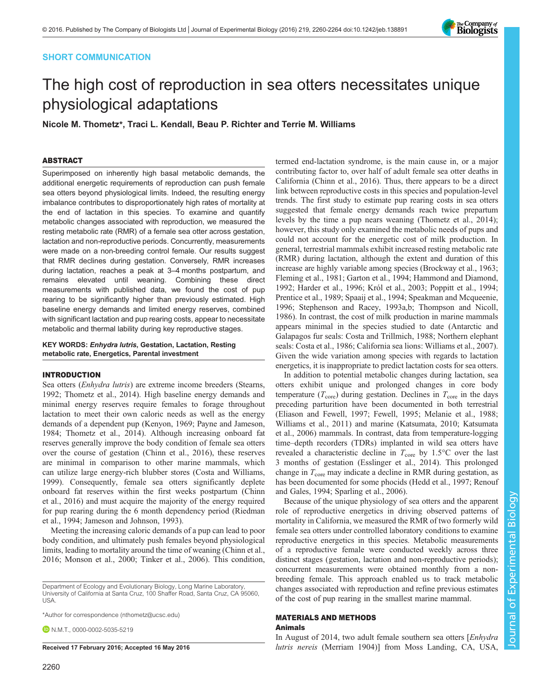#### SHORT COMMUNICATION



## The high cost of reproduction in sea otters necessitates unique physiological adaptations

Nicole M. Thometz\*, Traci L. Kendall, Beau P. Richter and Terrie M. Williams

#### ABSTRACT

Superimposed on inherently high basal metabolic demands, the additional energetic requirements of reproduction can push female sea otters beyond physiological limits. Indeed, the resulting energy imbalance contributes to disproportionately high rates of mortality at the end of lactation in this species. To examine and quantify metabolic changes associated with reproduction, we measured the resting metabolic rate (RMR) of a female sea otter across gestation, lactation and non-reproductive periods. Concurrently, measurements were made on a non-breeding control female. Our results suggest that RMR declines during gestation. Conversely, RMR increases during lactation, reaches a peak at 3–4 months postpartum, and remains elevated until weaning. Combining these direct measurements with published data, we found the cost of pup rearing to be significantly higher than previously estimated. High baseline energy demands and limited energy reserves, combined with significant lactation and pup rearing costs, appear to necessitate metabolic and thermal lability during key reproductive stages.

KEY WORDS: Enhydra lutris, Gestation, Lactation, Resting metabolic rate, Energetics, Parental investment

#### INTRODUCTION

Sea otters (Enhydra lutris) are extreme income breeders ([Stearns,](#page-5-0) [1992](#page-5-0); [Thometz et al., 2014](#page-5-0)). High baseline energy demands and minimal energy reserves require females to forage throughout lactation to meet their own caloric needs as well as the energy demands of a dependent pup ([Kenyon, 1969; Payne and Jameson,](#page-5-0) [1984](#page-5-0); [Thometz et al., 2014\)](#page-5-0). Although increasing onboard fat reserves generally improve the body condition of female sea otters over the course of gestation ([Chinn et al., 2016\)](#page-4-0), these reserves are minimal in comparison to other marine mammals, which can utilize large energy-rich blubber stores [\(Costa and Williams,](#page-4-0) [1999](#page-4-0)). Consequently, female sea otters significantly deplete onboard fat reserves within the first weeks postpartum ([Chinn](#page-4-0) [et al., 2016](#page-4-0)) and must acquire the majority of the energy required for pup rearing during the 6 month dependency period ([Riedman](#page-5-0) [et al., 1994; Jameson and Johnson, 1993\)](#page-5-0).

Meeting the increasing caloric demands of a pup can lead to poor body condition, and ultimately push females beyond physiological limits, leading to mortality around the time of weaning ([Chinn et al.,](#page-4-0) [2016](#page-4-0); [Monson et al., 2000; Tinker et al., 2006](#page-5-0)). This condition,

**D** N M T [0000-0002-5035-5219](http://orcid.org/0000-0002-5035-5219)

2260

termed end-lactation syndrome, is the main cause in, or a major contributing factor to, over half of adult female sea otter deaths in California [\(Chinn et al., 2016](#page-4-0)). Thus, there appears to be a direct link between reproductive costs in this species and population-level trends. The first study to estimate pup rearing costs in sea otters suggested that female energy demands reach twice prepartum levels by the time a pup nears weaning ([Thometz et al., 2014](#page-5-0)); however, this study only examined the metabolic needs of pups and could not account for the energetic cost of milk production. In general, terrestrial mammals exhibit increased resting metabolic rate (RMR) during lactation, although the extent and duration of this increase are highly variable among species ([Brockway et al., 1963](#page-4-0); [Fleming et al., 1981;](#page-4-0) [Garton et al., 1994](#page-5-0); [Hammond and Diamond,](#page-5-0) [1992; Harder et al., 1996](#page-5-0); [Król et al., 2003; Poppitt et al., 1994](#page-5-0); [Prentice et al., 1989](#page-5-0); [Spaaij et al., 1994; Speakman and Mcqueenie,](#page-5-0) [1996; Stephenson and Racey, 1993a](#page-5-0),[b](#page-5-0); [Thompson and Nicoll,](#page-5-0) [1986\)](#page-5-0). In contrast, the cost of milk production in marine mammals appears minimal in the species studied to date (Antarctic and Galapagos fur seals: [Costa and Trillmich, 1988](#page-4-0); Northern elephant seals: [Costa et al., 1986](#page-4-0); California sea lions: [Williams et al., 2007\)](#page-5-0). Given the wide variation among species with regards to lactation energetics, it is inappropriate to predict lactation costs for sea otters.

In addition to potential metabolic changes during lactation, sea otters exhibit unique and prolonged changes in core body temperature ( $T_{\text{core}}$ ) during gestation. Declines in  $T_{\text{core}}$  in the days preceding parturition have been documented in both terrestrial [\(Eliason and Fewell, 1997](#page-4-0); [Fewell, 1995;](#page-4-0) [Melanie et al., 1988](#page-5-0); [Williams et al., 2011](#page-5-0)) and marine ([Katsumata, 2010; Katsumata](#page-5-0) [et al., 2006](#page-5-0)) mammals. In contrast, data from temperature-logging time–depth recorders (TDRs) implanted in wild sea otters have revealed a characteristic decline in  $T_{\text{core}}$  by 1.5°C over the last 3 months of gestation ([Esslinger et al., 2014](#page-4-0)). This prolonged change in  $T_{\text{core}}$  may indicate a decline in RMR during gestation, as has been documented for some phocids [\(Hedd et al., 1997](#page-5-0); [Renouf](#page-5-0) [and Gales, 1994; Sparling et al., 2006](#page-5-0)).

Because of the unique physiology of sea otters and the apparent role of reproductive energetics in driving observed patterns of mortality in California, we measured the RMR of two formerly wild female sea otters under controlled laboratory conditions to examine reproductive energetics in this species. Metabolic measurements of a reproductive female were conducted weekly across three distinct stages (gestation, lactation and non-reproductive periods); concurrent measurements were obtained monthly from a nonbreeding female. This approach enabled us to track metabolic changes associated with reproduction and refine previous estimates of the cost of pup rearing in the smallest marine mammal.

#### MATERIALS AND METHODS Animals

In August of 2014, two adult female southern sea otters [Enhydra Received 17 February 2016; Accepted 16 May 2016 **interpret in the Contact State Interveree** lutris nereis (Merriam 1904)] from Moss Landing, CA, USA,

Department of Ecology and Evolutionary Biology, Long Marine Laboratory, University of California at Santa Cruz, 100 Shaffer Road, Santa Cruz, CA 95060, USA.

<sup>\*</sup>Author for correspondence [\(nthometz@ucsc.edu](mailto:nthometz@ucsc.edu))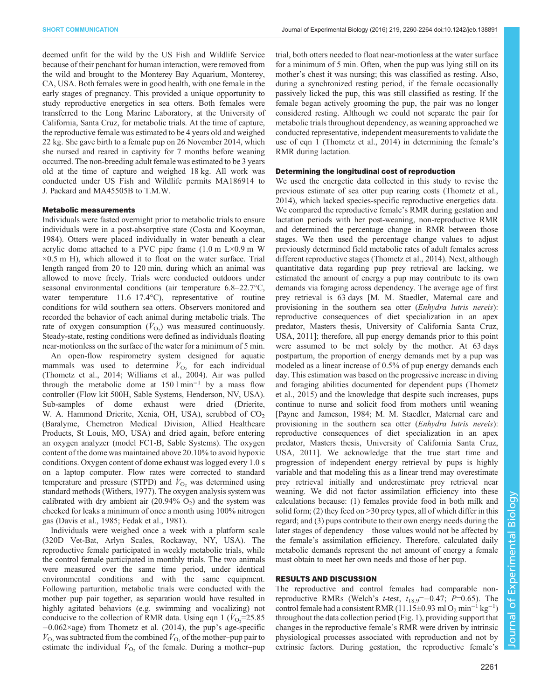deemed unfit for the wild by the US Fish and Wildlife Service because of their penchant for human interaction, were removed from the wild and brought to the Monterey Bay Aquarium, Monterey, CA, USA. Both females were in good health, with one female in the early stages of pregnancy. This provided a unique opportunity to study reproductive energetics in sea otters. Both females were transferred to the Long Marine Laboratory, at the University of California, Santa Cruz, for metabolic trials. At the time of capture, the reproductive female was estimated to be 4 years old and weighed 22 kg. She gave birth to a female pup on 26 November 2014, which she nursed and reared in captivity for 7 months before weaning occurred. The non-breeding adult female was estimated to be 3 years old at the time of capture and weighed 18 kg. All work was conducted under US Fish and Wildlife permits MA186914 to J. Packard and MA45505B to T.M.W.

#### Metabolic measurements

Individuals were fasted overnight prior to metabolic trials to ensure individuals were in a post-absorptive state [\(Costa and Kooyman,](#page-4-0) [1984](#page-4-0)). Otters were placed individually in water beneath a clear acrylic dome attached to a PVC pipe frame  $(1.0 \text{ m L} \times 0.9 \text{ m W})$  $\times$ 0.5 m H), which allowed it to float on the water surface. Trial length ranged from 20 to 120 min, during which an animal was allowed to move freely. Trials were conducted outdoors under seasonal environmental conditions (air temperature 6.8–22.7°C, water temperature 11.6–17.4°C), representative of routine conditions for wild southern sea otters. Observers monitored and recorded the behavior of each animal during metabolic trials. The rate of oxygen consumption  $(V<sub>O<sub>2</sub></sub>)$  was measured continuously. Steady-state, resting conditions were defined as individuals floating near-motionless on the surface of the water for a minimum of 5 min.

An open-flow respirometry system designed for aquatic mammals was used to determine  $\dot{V}_{\text{O}_2}$  for each individual [\(Thometz et al., 2014](#page-5-0); [Williams et al., 2004\)](#page-5-0). Air was pulled through the metabolic dome at  $150 \text{ l min}^{-1}$  by a mass flow controller (Flow kit 500H, Sable Systems, Henderson, NV, USA). Sub-samples of dome exhaust were dried (Drierite, W. A. Hammond Drierite, Xenia, OH, USA), scrubbed of  $CO<sub>2</sub>$ (Baralyme, Chemetron Medical Division, Allied Healthcare Products, St Louis, MO, USA) and dried again, before entering an oxygen analyzer (model FC1-B, Sable Systems). The oxygen content of the dome was maintained above 20.10% to avoid hypoxic conditions. Oxygen content of dome exhaust was logged every 1.0 s on a laptop computer. Flow rates were corrected to standard temperature and pressure (STPD) and  $\dot{V}_{\text{O}_2}$  was determined using standard methods ([Withers, 1977\)](#page-5-0). The oxygen analysis system was calibrated with dry ambient air  $(20.94\% \text{ O}_2)$  and the system was checked for leaks a minimum of once a month using 100% nitrogen gas [\(Davis et al., 1985](#page-4-0); [Fedak et al., 1981\)](#page-4-0).

Individuals were weighed once a week with a platform scale (320D Vet-Bat, Arlyn Scales, Rockaway, NY, USA). The reproductive female participated in weekly metabolic trials, while the control female participated in monthly trials. The two animals were measured over the same time period, under identical environmental conditions and with the same equipment. Following parturition, metabolic trials were conducted with the mother–pup pair together, as separation would have resulted in highly agitated behaviors (e.g. swimming and vocalizing) not conducive to the collection of RMR data. Using eqn 1 ( $\dot{V}_{\text{O}_2}$ =25.85) −0.062×age) from [Thometz et al. \(2014\),](#page-5-0) the pup's age-specific  $\dot{V}_{\text{O}_2}$  was subtracted from the combined  $\dot{V}_{\text{O}_2}$  of the mother–pup pair to estimate the individual  $\dot{V}_{\text{O}_2}$  of the female. During a mother-pup

trial, both otters needed to float near-motionless at the water surface for a minimum of 5 min. Often, when the pup was lying still on its mother's chest it was nursing; this was classified as resting. Also, during a synchronized resting period, if the female occasionally passively licked the pup, this was still classified as resting. If the female began actively grooming the pup, the pair was no longer considered resting. Although we could not separate the pair for metabolic trials throughout dependency, as weaning approached we conducted representative, independent measurements to validate the use of eqn 1 [\(Thometz et al., 2014\)](#page-5-0) in determining the female's RMR during lactation.

#### Determining the longitudinal cost of reproduction

We used the energetic data collected in this study to revise the previous estimate of sea otter pup rearing costs ([Thometz et al.,](#page-5-0) [2014\)](#page-5-0), which lacked species-specific reproductive energetics data. We compared the reproductive female's RMR during gestation and lactation periods with her post-weaning, non-reproductive RMR and determined the percentage change in RMR between those stages. We then used the percentage change values to adjust previously determined field metabolic rates of adult females across different reproductive stages [\(Thometz et al., 2014\)](#page-5-0). Next, although quantitative data regarding pup prey retrieval are lacking, we estimated the amount of energy a pup may contribute to its own demands via foraging across dependency. The average age of first prey retrieval is 63 days [M. M. Staedler, Maternal care and provisioning in the southern sea otter *(Enhydra lutris nereis)*: reproductive consequences of diet specialization in an apex predator, Masters thesis, University of California Santa Cruz, USA, 2011]; therefore, all pup energy demands prior to this point were assumed to be met solely by the mother. At 63 days postpartum, the proportion of energy demands met by a pup was modeled as a linear increase of 0.5% of pup energy demands each day. This estimation was based on the progressive increase in diving and foraging abilities documented for dependent pups [\(Thometz](#page-5-0) [et al., 2015\)](#page-5-0) and the knowledge that despite such increases, pups continue to nurse and solicit food from mothers until weaning [\[Payne and Jameson, 1984](#page-5-0); M. M. Staedler, Maternal care and provisioning in the southern sea otter (Enhydra lutris nereis): reproductive consequences of diet specialization in an apex predator, Masters thesis, University of California Santa Cruz, USA, 2011]. We acknowledge that the true start time and progression of independent energy retrieval by pups is highly variable and that modeling this as a linear trend may overestimate prey retrieval initially and underestimate prey retrieval near weaning. We did not factor assimilation efficiency into these calculations because: (1) females provide food in both milk and solid form; (2) they feed on >30 prey types, all of which differ in this regard; and (3) pups contribute to their own energy needs during the later stages of dependency – those values would not be affected by the female's assimilation efficiency. Therefore, calculated daily metabolic demands represent the net amount of energy a female must obtain to meet her own needs and those of her pup.

#### RESULTS AND DISCUSSION

The reproductive and control females had comparable nonreproductive RMRs (Welch's t-test,  $t_{18.9} = -0.47$ ; P=0.65). The control female had a consistent RMR (11.15±0.93 ml O<sub>2</sub> min<sup>-1</sup> kg<sup>-1</sup>) throughout the data collection period [\(Fig. 1\)](#page-3-0), providing support that changes in the reproductive female's RMR were driven by intrinsic physiological processes associated with reproduction and not by extrinsic factors. During gestation, the reproductive female's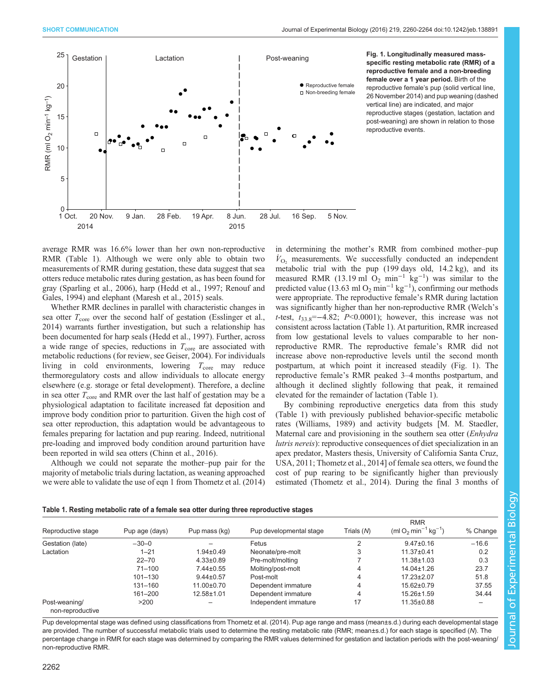<span id="page-3-0"></span>

Fig. 1. Longitudinally measured massspecific resting metabolic rate (RMR) of a reproductive female and a non-breeding female over a 1 year period. Birth of the reproductive female's pup (solid vertical line, 26 November 2014) and pup weaning (dashed vertical line) are indicated, and major reproductive stages (gestation, lactation and post-weaning) are shown in relation to those reproductive events.

average RMR was 16.6% lower than her own non-reproductive RMR (Table 1). Although we were only able to obtain two measurements of RMR during gestation, these data suggest that sea otters reduce metabolic rates during gestation, as has been found for gray ([Sparling et al., 2006\)](#page-5-0), harp ([Hedd et al., 1997](#page-5-0); [Renouf and](#page-5-0) [Gales, 1994](#page-5-0)) and elephant ([Maresh et al., 2015\)](#page-5-0) seals.

Whether RMR declines in parallel with characteristic changes in sea otter  $T_{\text{core}}$  over the second half of gestation ([Esslinger et al.,](#page-4-0) [2014](#page-4-0)) warrants further investigation, but such a relationship has been documented for harp seals [\(Hedd et al., 1997](#page-5-0)). Further, across a wide range of species, reductions in  $T_{\text{core}}$  are associated with metabolic reductions (for review, see Geiser, 2004). For individuals living in cold environments, lowering  $T_{\text{core}}$  may reduce thermoregulatory costs and allow individuals to allocate energy elsewhere (e.g. storage or fetal development). Therefore, a decline in sea otter  $T_{\text{core}}$  and RMR over the last half of gestation may be a physiological adaptation to facilitate increased fat deposition and improve body condition prior to parturition. Given the high cost of sea otter reproduction, this adaptation would be advantageous to females preparing for lactation and pup rearing. Indeed, nutritional pre-loading and improved body condition around parturition have been reported in wild sea otters ([Chinn et al., 2016](#page-4-0)).

Although we could not separate the mother–pup pair for the majority of metabolic trials during lactation, as weaning approached we were able to validate the use of eqn 1 from [Thometz et al. \(2014\)](#page-5-0) in determining the mother's RMR from combined mother–pup  $\dot{V}_{\text{O}_2}$  measurements. We successfully conducted an independent metabolic trial with the pup (199 days old, 14.2 kg), and its measured RMR (13.19 ml O<sub>2</sub> min<sup>-1</sup> kg<sup>-1</sup>) was similar to the predicted value (13.63 ml O<sub>2</sub> min<sup>-1</sup> kg<sup>-1</sup>), confirming our methods were appropriate. The reproductive female's RMR during lactation was significantly higher than her non-reproductive RMR (Welch's t-test,  $t_{33.8}$ =-4.82; P<0.0001); however, this increase was not consistent across lactation (Table 1). At parturition, RMR increased from low gestational levels to values comparable to her nonreproductive RMR. The reproductive female's RMR did not increase above non-reproductive levels until the second month postpartum, at which point it increased steadily (Fig. 1). The reproductive female's RMR peaked 3–4 months postpartum, and although it declined slightly following that peak, it remained elevated for the remainder of lactation (Table 1).

By combining reproductive energetics data from this study (Table 1) with previously published behavior-specific metabolic rates ([Williams, 1989\)](#page-5-0) and activity budgets [M. M. Staedler, Maternal care and provisioning in the southern sea otter (*Enhydra*) lutris nereis): reproductive consequences of diet specialization in an apex predator, Masters thesis, University of California Santa Cruz, USA, 2011; [Thometz et al., 2014\]](#page-5-0) of female sea otters, we found the cost of pup rearing to be significantly higher than previously estimated ([Thometz et al., 2014\)](#page-5-0). During the final 3 months of

| Reproductive stage                | Pup age (days) | Pup mass (kg)    | Pup developmental stage | <b>RMR</b> |                                                |          |
|-----------------------------------|----------------|------------------|-------------------------|------------|------------------------------------------------|----------|
|                                   |                |                  |                         | Trials (N) | (ml $O_2$ min <sup>-1</sup> kg <sup>-1</sup> ) | % Change |
| Gestation (late)                  | $-30-0$        |                  | Fetus                   | 2          | $9.47 \pm 0.16$                                | $-16.6$  |
| Lactation                         | $1 - 21$       | $1.94 \pm 0.49$  | Neonate/pre-molt        | 3          | $11.37 \pm 0.41$                               | 0.2      |
|                                   | $22 - 70$      | $4.33 \pm 0.89$  | Pre-molt/molting        |            | $11.38 \pm 1.03$                               | 0.3      |
|                                   | $71 - 100$     | 7.44±0.55        | Molting/post-molt       | 4          | 14.04±1.26                                     | 23.7     |
|                                   | $101 - 130$    | $9.44 \pm 0.57$  | Post-molt               | 4          | $17.23 \pm 2.07$                               | 51.8     |
|                                   | 131-160        | 11.00±0.70       | Dependent immature      | 4          | 15.62±0.79                                     | 37.55    |
|                                   | $161 - 200$    | $12.58 \pm 1.01$ | Dependent immature      | 4          | 15.26±1.59                                     | 34.44    |
| Post-weaning/<br>non-reproductive | >200           |                  | Independent immature    | 17         | 11.35±0.88                                     |          |

#### Table 1. Resting metabolic rate of a female sea otter during three reproductive stages

Pup developmental stage was defined using classifications from [Thometz et al. \(2014\).](#page-5-0) Pup age range and mass (mean±s.d.) during each developmental stage are provided. The number of successful metabolic trials used to determine the resting metabolic rate (RMR; mean±s.d.) for each stage is specified (N). The percentage change in RMR for each stage was determined by comparing the RMR values determined for gestation and lactation periods with the post-weaning. non-reproductive RMR.

Journal of Experimental Biology

**Journal of Experimental Biology**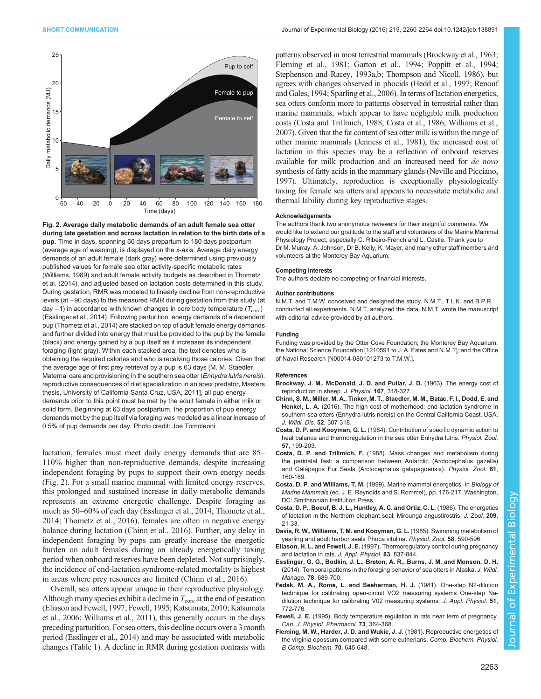<span id="page-4-0"></span>

Fig. 2. Average daily metabolic demands of an adult female sea otter during late gestation and across lactation in relation to the birth date of a pup. Time in days, spanning 60 days prepartum to 180 days postpartum (average age of weaning), is displayed on the x-axis. Average daily energy demands of an adult female (dark gray) were determined using previously published values for female sea otter activity-specific metabolic rates [\(Williams, 1989\)](#page-5-0) and adult female activity budgets as described in [Thometz](#page-5-0) [et al. \(2014\),](#page-5-0) and adjusted based on lactation costs determined in this study. During gestation, RMR was modeled to linearly decline from non-reproductive levels (at −90 days) to the measured RMR during gestation from this study (at day  $-1$ ) in accordance with known changes in core body temperature ( $T_{\text{core}}$ ) (Esslinger et al., 2014). Following parturition, energy demands of a dependent pup [\(Thometz et al., 2014\)](#page-5-0) are stacked on top of adult female energy demands and further divided into energy that must be provided to the pup by the female (black) and energy gained by a pup itself as it increases its independent foraging (light gray). Within each stacked area, the text denotes who is obtaining the required calories and who is receiving those calories. Given that the average age of first prey retrieval by a pup is 63 days [M. M. Staedler, Maternal care and provisioning in the southern sea otter (Enhydra lutris nereis): reproductive consequences of diet specialization in an apex predator, Masters thesis, University of California Santa Cruz, USA, 2011], all pup energy demands prior to this point must be met by the adult female in either milk or solid form. Beginning at 63 days postpartum, the proportion of pup energy demands met by the pup itself via foraging was modeled as a linear increase of 0.5% of pup demands per day. Photo credit: Joe Tomoleoni.

lactation, females must meet daily energy demands that are 85– 110% higher than non-reproductive demands, despite increasing independent foraging by pups to support their own energy needs (Fig. 2). For a small marine mammal with limited energy reserves, this prolonged and sustained increase in daily metabolic demands represents an extreme energetic challenge. Despite foraging as much as 50–60% of each day (Esslinger et al., 2014; [Thometz et al.,](#page-5-0) [2014](#page-5-0); [Thometz et al., 2016](#page-5-0)), females are often in negative energy balance during lactation (Chinn et al., 2016). Further, any delay in independent foraging by pups can greatly increase the energetic burden on adult females during an already energetically taxing period when onboard reserves have been depleted. Not surprisingly, the incidence of end-lactation syndrome-related mortality is highest in areas where prey resources are limited (Chinn et al., 2016).

Overall, sea otters appear unique in their reproductive physiology. Although many species exhibit a decline in  $T_{\text{core}}$  at the end of gestation (Eliason and Fewell, 1997; Fewell, 1995; [Katsumata, 2010](#page-5-0); [Katsumata](#page-5-0) [et al., 2006; Williams et al., 2011\)](#page-5-0), this generally occurs in the days preceding parturition. For sea otters, this decline occurs over a 3 month period (Esslinger et al., 2014) and may be associated with metabolic changes ([Table 1](#page-3-0)). A decline in RMR during gestation contrasts with

patterns observed in most terrestrial mammals (Brockway et al., 1963; Fleming et al., 1981; [Garton et al., 1994](#page-5-0); [Poppitt et al., 1994](#page-5-0); [Stephenson and Racey, 1993a,b; Thompson and Nicoll, 1986\)](#page-5-0), but agrees with changes observed in phocids [\(Hedd et al., 1997; Renouf](#page-5-0) [and Gales, 1994](#page-5-0); [Sparling et al., 2006\)](#page-5-0). In terms of lactation energetics, sea otters conform more to patterns observed in terrestrial rather than marine mammals, which appear to have negligible milk production costs (Costa and Trillmich, 1988; Costa et al., 1986; [Williams et al.,](#page-5-0) [2007](#page-5-0)). Given that the fat content of sea otter milk is within the range of other marine mammals [\(Jenness et al., 1981](#page-5-0)), the increased cost of lactation in this species may be a reflection of onboard reserves available for milk production and an increased need for de novo synthesis of fatty acids in the mammary glands [\(Neville and Picciano,](#page-5-0) [1997](#page-5-0)). Ultimately, reproduction is exceptionally physiologically taxing for female sea otters and appears to necessitate metabolic and thermal lability during key reproductive stages.

#### Acknowledgements

The authors thank two anonymous reviewers for their insightful comments. We would like to extend our gratitude to the staff and volunteers of the Marine Mammal Physiology Project, especially C. Ribeiro-French and L. Castle. Thank you to Dr M. Murray, A. Johnson, Dr B. Kelly, K. Mayer, and many other staff members and volunteers at the Monterey Bay Aquarium.

#### Competing interests

The authors declare no competing or financial interests.

#### Author contributions

N.M.T. and T.M.W. conceived and designed the study. N.M.T., T.L.K. and B.P.R. conducted all experiments. N.M.T. analyzed the data. N.M.T. wrote the manuscript with editorial advice provided by all authors.

#### Funding

Funding was provided by the Otter Cove Foundation; the Monterey Bay Aquarium; the National Science Foundation [1210591 to J. A. Estes and N.M.T]; and the Office of Naval Research [N00014-080101273 to T.M.W.].

#### References

- [Brockway, J. M., McDonald, J. D. and Pullar, J. D.](http://dx.doi.org/10.1113/jphysiol.1963.sp007152) (1963). The energy cost of [reproduction in sheep.](http://dx.doi.org/10.1113/jphysiol.1963.sp007152) J. Physiol. 167, 318-327.
- [Chinn, S. M., Miller, M. A., Tinker, M. T., Staedler, M. M., Batac, F. I., Dodd, E. and](http://dx.doi.org/10.7589/2015-06-158) Henkel, L. A. [\(2016\). The high cost of motherhood: end-lactation syndrome in](http://dx.doi.org/10.7589/2015-06-158) [southern sea otters \(Enhydra lutris nereis\) on the Central California Coast, USA.](http://dx.doi.org/10.7589/2015-06-158) [J. Wildl. Dis.](http://dx.doi.org/10.7589/2015-06-158) 52, 307-318.
- Costa, D. P. and Kooyman, G. L. [\(1984\). Contribution of specific dynamic action to](http://dx.doi.org/10.1086/physzool.57.2.30163705) [heat balance and thermoregulation in the sea otter Enhydra lutris.](http://dx.doi.org/10.1086/physzool.57.2.30163705) Physiol. Zool. 57[, 199-203.](http://dx.doi.org/10.1086/physzool.57.2.30163705)
- Costa, D. P. and Trillmich, F. [\(1988\). Mass changes and metabolism during](http://dx.doi.org/10.1086/physzool.61.2.30156147) [the perinatal fast: a comparison between Antarctic \(Arctocephalus gazella\)](http://dx.doi.org/10.1086/physzool.61.2.30156147) and Galá[pagos Fur Seals \(Arctocephalus galapagoensis\).](http://dx.doi.org/10.1086/physzool.61.2.30156147) Physiol. Zool. 61. [160-169.](http://dx.doi.org/10.1086/physzool.61.2.30156147)
- Costa, D. P. and Williams, T. M. (1999). Marine mammal energetics. In Biology of Marine Mammals (ed. J. E. Reynolds and S. Rommel), pp. 176-217. Washington, DC: Smithsonian Institution Press.
- [Costa, D. P., Boeuf, B. J. L., Huntley, A. C. and Ortiz, C. L.](http://dx.doi.org/10.1111/j.1469-7998.1986.tb03563.x) (1986). The energetics [of lactation in the Northern elephant seal, Mirounga angustirostris.](http://dx.doi.org/10.1111/j.1469-7998.1986.tb03563.x) J. Zool. 209, [21-33.](http://dx.doi.org/10.1111/j.1469-7998.1986.tb03563.x)
- [Davis, R. W., Williams, T. M. and Kooyman, G. L.](http://dx.doi.org/10.1086/physzool.58.5.30158585) (1985). Swimming metabolism of [yearling and adult harbor seals Phoca vitulina.](http://dx.doi.org/10.1086/physzool.58.5.30158585) Physiol. Zool. 58, 590-596.
- Eliason, H. L. and Fewell, J. E. (1997). Thermoregulatory control during pregnancy and lactation in rats. J. Appl. Physiol. 83, 837-844.
- [Esslinger, G. G., Bodkin, J. L., Breton, A. R., Burns, J. M. and Monson, D. H.](http://dx.doi.org/10.1002/jwmg.701) [\(2014\). Temporal patterns in the foraging behavior of sea otters in Alaska.](http://dx.doi.org/10.1002/jwmg.701) J. Wildl. Manage. 78[, 689-700.](http://dx.doi.org/10.1002/jwmg.701)
- Fedak, M. A., Rome, L. and Seeherman, H. J. (1981). One-step N2-dilution technique for calibrating open-circuit VO2 measuring systems One-step Nadilution technique for calibrating V02 measuring systems. J. Appl. Physiol. 51, 772-776.
- Fewell, J. E. (1995). Body temperature regulation in rats near term of pregnancy [Can. J. Physiol. Pharmacol.](http://dx.doi.org/10.1139/y95-046) 73, 364-368.
- [Fleming, M. W., Harder, J. D. and Wukie, J. J.](http://dx.doi.org/10.1016/0305-0491(81)90313-8) (1981). Reproductive energetics of [the virginia opossum compared with some eutherians.](http://dx.doi.org/10.1016/0305-0491(81)90313-8) Comp. Biochem. Physiol. [B Comp. Biochem.](http://dx.doi.org/10.1016/0305-0491(81)90313-8) 70, 645-648.